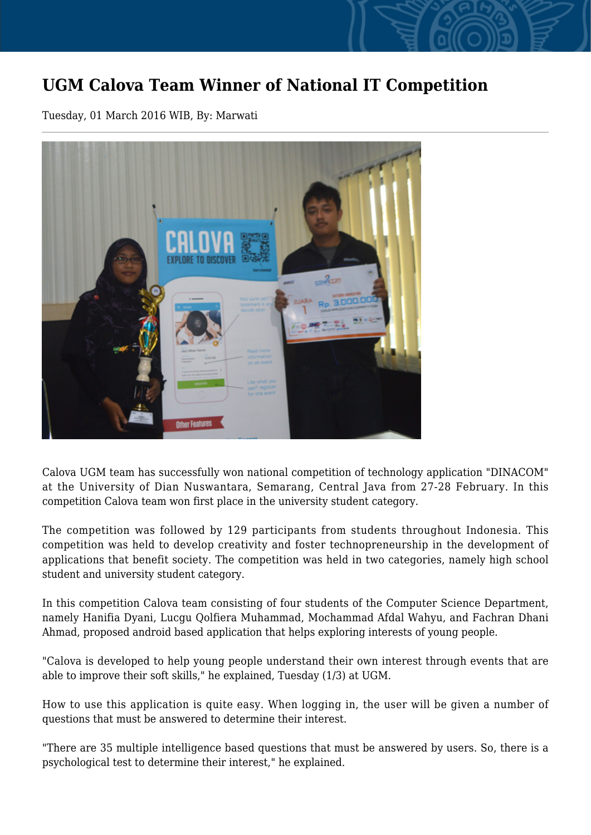## **UGM Calova Team Winner of National IT Competition**

Tuesday, 01 March 2016 WIB, By: Marwati



Calova UGM team has successfully won national competition of technology application "DINACOM" at the University of Dian Nuswantara, Semarang, Central Java from 27-28 February. In this competition Calova team won first place in the university student category.

The competition was followed by 129 participants from students throughout Indonesia. This competition was held to develop creativity and foster technopreneurship in the development of applications that benefit society. The competition was held in two categories, namely high school student and university student category.

In this competition Calova team consisting of four students of the Computer Science Department, namely Hanifia Dyani, Lucgu Qolfiera Muhammad, Mochammad Afdal Wahyu, and Fachran Dhani Ahmad, proposed android based application that helps exploring interests of young people.

"Calova is developed to help young people understand their own interest through events that are able to improve their soft skills," he explained, Tuesday (1/3) at UGM.

How to use this application is quite easy. When logging in, the user will be given a number of questions that must be answered to determine their interest.

"There are 35 multiple intelligence based questions that must be answered by users. So, there is a psychological test to determine their interest," he explained.